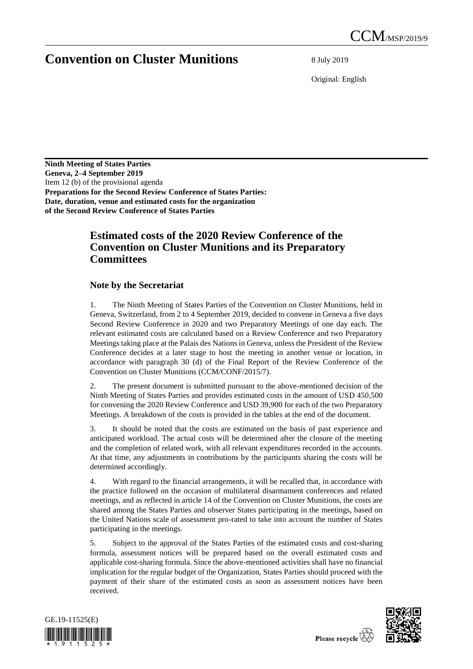## **Convention on Cluster Munitions** 8 July 2019

Original: English

**Ninth Meeting of States Parties Geneva, 2–4 September 2019** Item 12 (b) of the provisional agenda **Preparations for the Second Review Conference of States Parties: Date, duration, venue and estimated costs for the organization of the Second Review Conference of States Parties**

## **Estimated costs of the 2020 Review Conference of the Convention on Cluster Munitions and its Preparatory Committees**

## **Note by the Secretariat**

1. The Ninth Meeting of States Parties of the Convention on Cluster Munitions, held in Geneva, Switzerland, from 2 to 4 September 2019, decided to convene in Geneva a five days Second Review Conference in 2020 and two Preparatory Meetings of one day each. The relevant estimated costs are calculated based on a Review Conference and two Preparatory Meetings taking place at the Palais des Nations in Geneva, unless the President of the Review Conference decides at a later stage to host the meeting in another venue or location, in accordance with paragraph 30 (d) of the Final Report of the Review Conference of the Convention on Cluster Munitions (CCM/CONF/2015/7).

2. The present document is submitted pursuant to the above-mentioned decision of the Ninth Meeting of States Parties and provides estimated costs in the amount of USD 450,500 for convening the 2020 Review Conference and USD 39,900 for each of the two Preparatory Meetings. A breakdown of the costs is provided in the tables at the end of the document.

3. It should be noted that the costs are estimated on the basis of past experience and anticipated workload. The actual costs will be determined after the closure of the meeting and the completion of related work, with all relevant expenditures recorded in the accounts. At that time, any adjustments in contributions by the participants sharing the costs will be determined accordingly.

4. With regard to the financial arrangements, it will be recalled that, in accordance with the practice followed on the occasion of multilateral disarmament conferences and related meetings, and as reflected in article 14 of the Convention on Cluster Munitions, the costs are shared among the States Parties and observer States participating in the meetings, based on the United Nations scale of assessment pro-rated to take into account the number of States participating in the meetings.

5. Subject to the approval of the States Parties of the estimated costs and cost-sharing formula, assessment notices will be prepared based on the overall estimated costs and applicable cost-sharing formula. Since the above-mentioned activities shall have no financial implication for the regular budget of the Organization, States Parties should proceed with the payment of their share of the estimated costs as soon as assessment notices have been received.



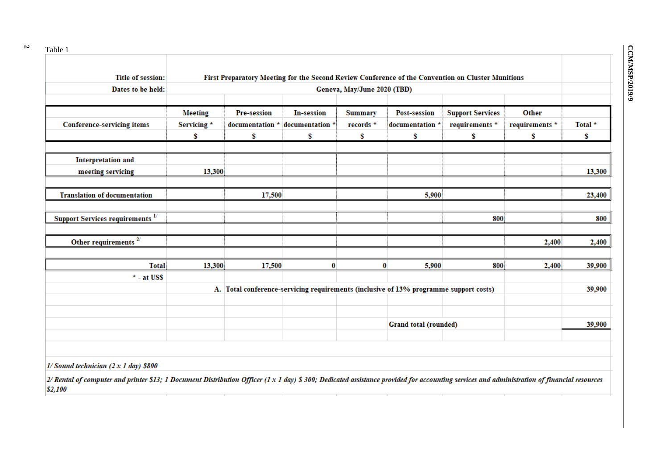**2**

| <b>Title of session:</b>                | First Preparatory Meeting for the Second Review Conference of the Convention on Cluster Munitions |                                                                                       |                                 |                |                       |                         |                |         |
|-----------------------------------------|---------------------------------------------------------------------------------------------------|---------------------------------------------------------------------------------------|---------------------------------|----------------|-----------------------|-------------------------|----------------|---------|
| Dates to be held:                       | Geneva, May/June 2020 (TBD)                                                                       |                                                                                       |                                 |                |                       |                         |                |         |
|                                         | <b>Meeting</b>                                                                                    | <b>Pre-session</b>                                                                    | <b>In-session</b>               | <b>Summary</b> | <b>Post-session</b>   | <b>Support Services</b> | Other          |         |
| <b>Conference-servicing items</b>       | Servicing *                                                                                       |                                                                                       | documentation * documentation * | records *      | documentation *       | requirements *          | requirements * | Total * |
|                                         | \$                                                                                                | \$                                                                                    | \$                              | \$             | \$                    | \$                      | s              | \$      |
| <b>Interpretation and</b>               |                                                                                                   |                                                                                       |                                 |                |                       |                         |                |         |
| meeting servicing                       | 13,300                                                                                            |                                                                                       |                                 |                |                       |                         |                | 13,300  |
| <b>Translation of documentation</b>     |                                                                                                   | 17,500                                                                                |                                 |                | 5,900                 |                         |                | 23,400  |
| <b>Support Services requirements</b> 1/ |                                                                                                   |                                                                                       |                                 |                |                       | 800                     |                | 800     |
| Other requirements $27$                 |                                                                                                   |                                                                                       |                                 |                |                       |                         | 2,400          | 2,400   |
| <b>Total</b>                            | 13,300                                                                                            | 17,500                                                                                | 0                               | $\bf{0}$       | 5,900                 | 800                     | 2,400          | 39,900  |
| $*$ - at US\$                           |                                                                                                   |                                                                                       |                                 |                |                       |                         |                |         |
|                                         |                                                                                                   | A. Total conference-servicing requirements (inclusive of 13% programme support costs) |                                 |                |                       |                         |                | 39,900  |
|                                         |                                                                                                   |                                                                                       |                                 |                |                       |                         |                |         |
|                                         |                                                                                                   |                                                                                       |                                 |                | Grand total (rounded) |                         |                | 39,900  |

2/ Rental of computer and printer \$13; 1 Document Distribution Officer (1 x 1 day) \$ 300; Dedicated assistance provided for accounting services and administration of financial resources \$2,100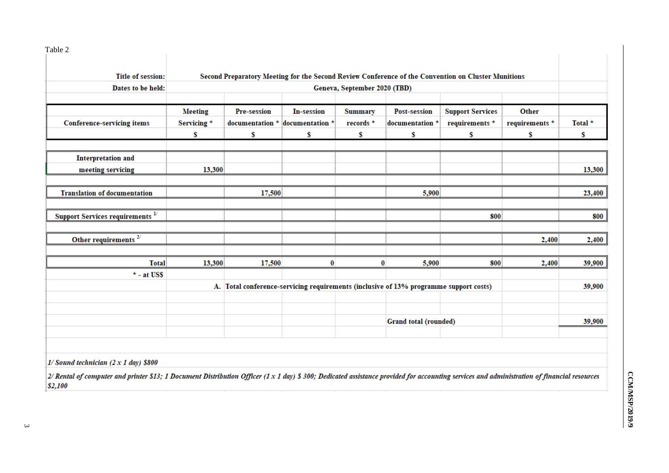| Table 2                                            |                                                                                                    |             |                                       |                 |                       |                         |                      |              |
|----------------------------------------------------|----------------------------------------------------------------------------------------------------|-------------|---------------------------------------|-----------------|-----------------------|-------------------------|----------------------|--------------|
|                                                    |                                                                                                    |             |                                       |                 |                       |                         |                      |              |
| <b>Title of session:</b>                           | Second Preparatory Meeting for the Second Review Conference of the Convention on Cluster Munitions |             |                                       |                 |                       |                         |                      |              |
| Dates to be held:                                  | Geneva, September 2020 (TBD)                                                                       |             |                                       |                 |                       |                         |                      |              |
|                                                    |                                                                                                    |             |                                       |                 |                       |                         |                      |              |
|                                                    | <b>Meeting</b>                                                                                     | Pre-session | <b>In-session</b>                     | <b>Summary</b>  | <b>Post-session</b>   | <b>Support Services</b> | Other                |              |
| <b>Conference-servicing items</b>                  | Servicing *<br>\$                                                                                  | s           | documentation * documentation *<br>\$ | records *<br>\$ | documentation *<br>\$ | requirements *<br>\$    | requirements *<br>\$ | Total *<br>s |
|                                                    |                                                                                                    |             |                                       |                 |                       |                         |                      |              |
|                                                    |                                                                                                    |             |                                       |                 |                       |                         |                      |              |
| <b>Interpretation and</b>                          |                                                                                                    |             |                                       |                 |                       |                         |                      |              |
| meeting servicing                                  | 13,300                                                                                             |             |                                       |                 |                       |                         |                      | 13,300       |
| <b>Translation of documentation</b>                |                                                                                                    | 17,500      |                                       |                 | 5,900                 |                         |                      | 23,400       |
| <b>Support Services requirements</b> <sup>1/</sup> |                                                                                                    |             |                                       |                 |                       | 800                     |                      | 800          |
|                                                    |                                                                                                    |             |                                       |                 |                       |                         |                      |              |
| Other requirements $2^{7}$                         |                                                                                                    |             |                                       |                 |                       |                         | 2,400                | 2,400        |
|                                                    |                                                                                                    |             |                                       |                 |                       |                         |                      |              |
| <b>Total</b>                                       | 13,300                                                                                             | 17,500      | 0                                     | 0               | 5,900                 | 800                     | 2,400                | 39,900       |
| $*$ - at US\$                                      |                                                                                                    |             |                                       |                 |                       |                         |                      |              |
|                                                    | A. Total conference-servicing requirements (inclusive of 13% programme support costs)              |             |                                       |                 |                       |                         |                      | 39,900       |
|                                                    |                                                                                                    |             |                                       |                 |                       |                         |                      |              |
|                                                    |                                                                                                    |             |                                       |                 | Grand total (rounded) |                         |                      | 39,900       |
|                                                    |                                                                                                    |             |                                       |                 |                       |                         |                      |              |
|                                                    |                                                                                                    |             |                                       |                 |                       |                         |                      |              |

 $1/Sound$  technician (2 x 1 day) \$800

 $|$  2/ Rental of computer and printer \$13; 1 Document Distribution Officer (1 x 1 day) \$ 300; Dedicated assistance provided for accounting services and administration of financial resources  $|$2,100$ 

 $\omega$ 

CCM/MSP/2019/9 **CCM/MSP/2019/9**